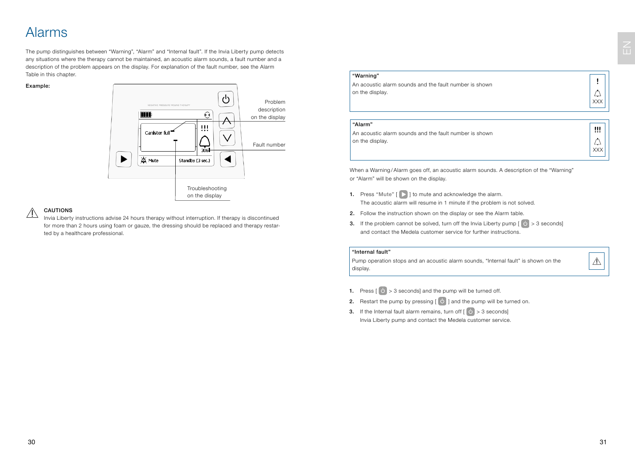### Alarms

The pump distinguishes between "Warning", "Alarm" and "Internal fault". If the Invia Liberty pump detects any situations where the therapy cannot be maintained, an acoustic alarm sounds, a fault number and a description of the problem appears on the display. For explanation of the fault number, see the Alarm Table in this chapter.

#### Example:



#### CAUTIONS  $\triangle$

Invia Liberty instructions advise 24 hours therapy without interruption. If therapy is discontinued for more than 2 hours using foam or gauze, the dressing should be replaced and therapy restarted by a healthcare professional.

#### "Warning"

| An acoustic alarm sounds and the fault number is shown |  |  |  |
|--------------------------------------------------------|--|--|--|
| on the display.                                        |  |  |  |

XXX

 $\triangle$ 

!!!

#### "Alarm"

An acoustic alarm sounds and the fault number is shown on the display.

When a Warning/Alarm goes off, an acoustic alarm sounds. A description of the "Warning" or "Alarm" will be shown on the display.

- 1. Press "Mute"  $[\triangleright]$  to mute and acknowledge the alarm. The acoustic alarm will resume in 1 minute if the problem is not solved.
- 2. Follow the instruction shown on the display or see the Alarm table.
- 3. If the problem cannot be solved, turn off the Invia Liberty pump  $[\bigcirc] > 3$  seconds] and contact the Medela customer service for further instructions.

#### "Internal fault"

Pump operation stops and an acoustic alarm sounds, "Internal fault" is shown on the display.

 $\triangle$ 

- **1.** Press  $\begin{bmatrix} 0 \\ 1 \end{bmatrix}$  > 3 seconds] and the pump will be turned off.
- 2. Restart the pump by pressing  $\begin{bmatrix} 0 \\ 0 \end{bmatrix}$  and the pump will be turned on.
- 3. If the Internal fault alarm remains, turn off  $\begin{bmatrix} 0 \\ 0 \end{bmatrix} > 3$  seconds] Invia Liberty pump and contact the Medela customer service.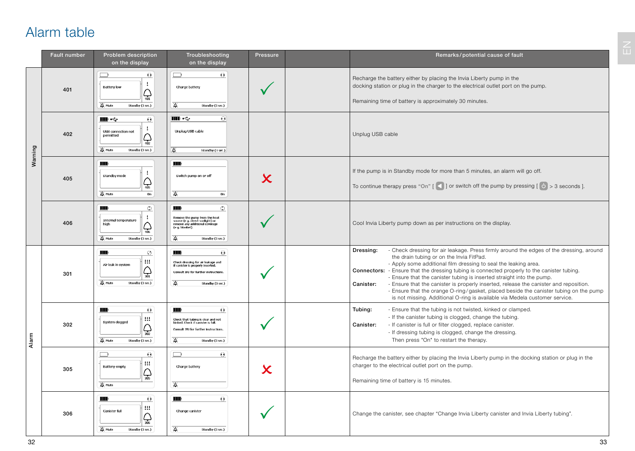# Alarm table

|         | Fault number | Problem description<br>on the display                                                                                      | Troubleshooting<br>on the display                                                                                                                                         | Pressure                | Remarks/potential cause of fault                                                                                                                                                                                                                                                                                                                                                                                                                                                                                                                                                                                                                                                 |  |  |
|---------|--------------|----------------------------------------------------------------------------------------------------------------------------|---------------------------------------------------------------------------------------------------------------------------------------------------------------------------|-------------------------|----------------------------------------------------------------------------------------------------------------------------------------------------------------------------------------------------------------------------------------------------------------------------------------------------------------------------------------------------------------------------------------------------------------------------------------------------------------------------------------------------------------------------------------------------------------------------------------------------------------------------------------------------------------------------------|--|--|
| Warning | 401          | $\Theta$<br>$\Box$<br>$\mathbf{I}$<br><b>Battery low</b><br>$\bigoplus_{401}$<br><b>X</b> Mute<br>Standby (3 sec.)         | $\Theta$<br>$\Box$<br>Charge battery<br>浊<br>Standby (3 sec.)                                                                                                             |                         | Recharge the battery either by placing the Invia Liberty pump in the<br>docking station or plug in the charger to the electrical outlet port on the pump.<br>Remaining time of battery is approximately 30 minutes.                                                                                                                                                                                                                                                                                                                                                                                                                                                              |  |  |
|         | 402          | m ÷<br>$\Theta$<br>$\cdot$<br>USB connection not<br>permitted<br>$\bigoplus_{402}$<br><b>X</b> Mute<br>Standby (3 sec.)    | <b>IIII</b> ·<<br>$\odot$<br>Unplug USB cable<br>凑<br>Standby (3 sec.)                                                                                                    |                         | Unplug USB cable                                                                                                                                                                                                                                                                                                                                                                                                                                                                                                                                                                                                                                                                 |  |  |
|         | 405          | MD<br>$\cdot$<br>Standby mode<br>$\bigoplus_{405}$<br>Mute<br>On                                                           | MD<br>Switch pump on or off<br>举<br>On                                                                                                                                    | $\overline{\mathsf{x}}$ | If the pump is in Standby mode for more than 5 minutes, an alarm will go off.<br>To continue therapy press "On" [ $\leq$ ] or switch off the pump by pressing [ $\circ$ > 3 seconds ].                                                                                                                                                                                                                                                                                                                                                                                                                                                                                           |  |  |
|         | 406          | MD<br>$\circ$<br>$\mathbf{I}$<br>Internal temperature<br>hiah<br>$\bigoplus_{406}$<br><b>X</b> Mute<br>Standby (3 sec.)    | MD<br>$\circ$<br>Remove the pump from the heat<br>source (e.g. direct sunlight) or<br>remove any additional coverage<br>(e.g. blanket).<br>畜<br>Standby (3 sec.)          |                         | Cool Invia Liberty pump down as per instructions on the display.                                                                                                                                                                                                                                                                                                                                                                                                                                                                                                                                                                                                                 |  |  |
| Alarm   | 301          | MD<br>$\odot$<br>$\mathbf{u}$<br>Air leak in system<br>$\bigoplus_{301}$<br>Mute<br>Standby (3 sec.)                       | m<br>$\Theta$<br>Check dressing for air leakage and<br>if canister is properly inserted.<br>Consult IFU for further instructions.<br>浊<br>Standby (3 sec.)                |                         | - Check dressing for air leakage. Press firmly around the edges of the dressing, around<br>Dressing:<br>the drain tubing or on the Invia FitPad.<br>- Apply some additional film dressing to seal the leaking area.<br><b>Connectors:</b> - Ensure that the dressing tubing is connected properly to the canister tubing.<br>- Ensure that the canister tubing is inserted straight into the pump.<br>Canister:<br>- Ensure that the canister is properly inserted, release the canister and reposition.<br>- Ensure that the orange O-ring/gasket, placed beside the canister tubing on the pump<br>is not missing. Additional O-ring is available via Medela customer service. |  |  |
|         | 302          | MID<br>$\Theta$<br>Ш<br>System clogged<br>$\bigoplus_{302}$<br>Mute<br>Standby (3 sec.)                                    | MI<br>$\boldsymbol{\Theta}$<br>Check that tubing is clear and not<br>kinked. Check if canister is full.<br>Consult IFU for further instructions.<br>浊<br>Standby (3 sec.) |                         | Tubing:<br>- Ensure that the tubing is not twisted, kinked or clamped.<br>- If the canister tubing is clogged, change the tubing.<br>- If canister is full or filter clogged, replace canister.<br>Canister:<br>- If dressing tubing is clogged, change the dressing.<br>Then press "On" to restart the therapy.                                                                                                                                                                                                                                                                                                                                                                 |  |  |
|         | 305          | $\Theta$<br>$\Box$<br>Ш<br>Battery empty<br>$\mathcal{Q}_{\overline{\mathsf{obs}}}$<br>Mute                                | $\boldsymbol{\Theta}$<br>$\Box$<br>Charge battery<br>浊                                                                                                                    | $\bm{\chi}$             | Recharge the battery either by placing the Invia Liberty pump in the docking station or plug in the<br>charger to the electrical outlet port on the pump.<br>Remaining time of battery is 15 minutes.                                                                                                                                                                                                                                                                                                                                                                                                                                                                            |  |  |
|         | 306          | $\boldsymbol{\Theta}$<br>MID<br>$\mathbf{u}$<br>Canister full<br>$\mathcal{Q}_{\frac{36}{36}}$<br>Mute<br>Standby (3 sec.) | MD<br>$\Theta$<br>Change canister<br>浊<br>Standby (3 sec.)                                                                                                                |                         | Change the canister, see chapter "Change Invia Liberty canister and Invia Liberty tubing".                                                                                                                                                                                                                                                                                                                                                                                                                                                                                                                                                                                       |  |  |